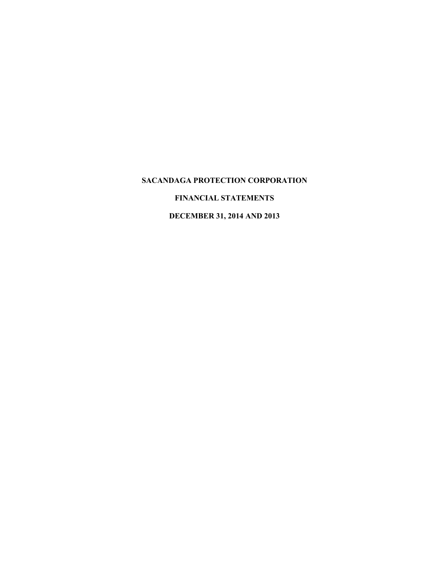## **FINANCIAL STATEMENTS**

## **DECEMBER 31, 2014 AND 2013**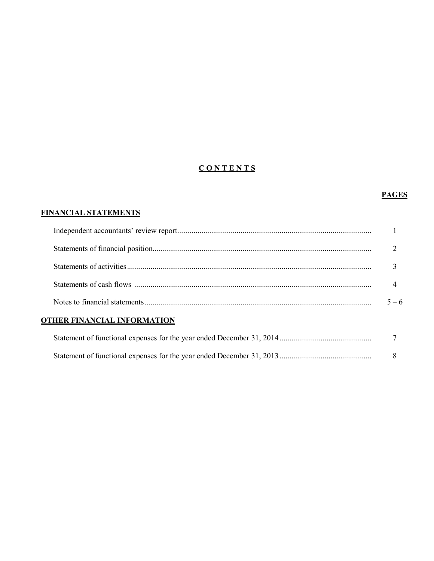## **C O N T E N T S**

### **PAGES**

### **FINANCIAL STATEMENTS**

| $5 - 6$ |
|---------|

### **OTHER FINANCIAL INFORMATION**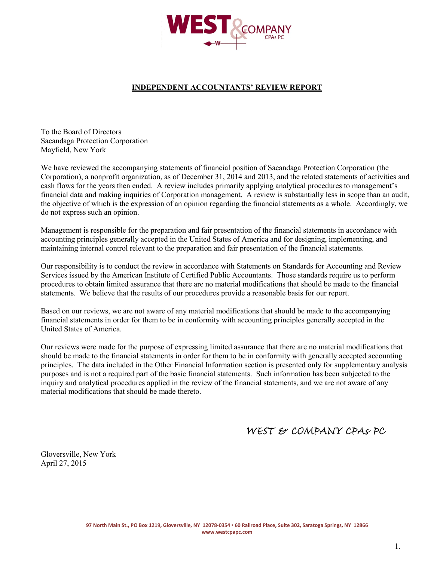

#### **INDEPENDENT ACCOUNTANTS' REVIEW REPORT**

To the Board of Directors Sacandaga Protection Corporation Mayfield, New York

We have reviewed the accompanying statements of financial position of Sacandaga Protection Corporation (the Corporation), a nonprofit organization, as of December 31, 2014 and 2013, and the related statements of activities and cash flows for the years then ended. A review includes primarily applying analytical procedures to management's financial data and making inquiries of Corporation management. A review is substantially less in scope than an audit, the objective of which is the expression of an opinion regarding the financial statements as a whole. Accordingly, we do not express such an opinion.

Management is responsible for the preparation and fair presentation of the financial statements in accordance with accounting principles generally accepted in the United States of America and for designing, implementing, and maintaining internal control relevant to the preparation and fair presentation of the financial statements.

Our responsibility is to conduct the review in accordance with Statements on Standards for Accounting and Review Services issued by the American Institute of Certified Public Accountants. Those standards require us to perform procedures to obtain limited assurance that there are no material modifications that should be made to the financial statements. We believe that the results of our procedures provide a reasonable basis for our report.

Based on our reviews, we are not aware of any material modifications that should be made to the accompanying financial statements in order for them to be in conformity with accounting principles generally accepted in the United States of America.

Our reviews were made for the purpose of expressing limited assurance that there are no material modifications that should be made to the financial statements in order for them to be in conformity with generally accepted accounting principles. The data included in the Other Financial Information section is presented only for supplementary analysis purposes and is not a required part of the basic financial statements. Such information has been subjected to the inquiry and analytical procedures applied in the review of the financial statements, and we are not aware of any material modifications that should be made thereto.

# WEST & COMPANY CPAS PC

Gloversville, New York April 27, 2015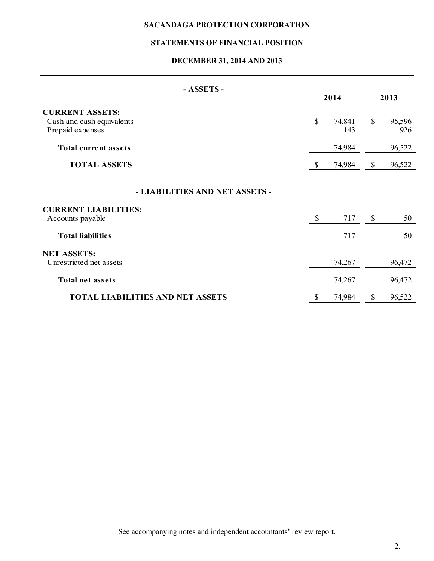### **STATEMENTS OF FINANCIAL POSITION**

### **DECEMBER 31, 2014 AND 2013**

| - ASSETS -                                                                        |               | 2014          |                           | 2013          |  |
|-----------------------------------------------------------------------------------|---------------|---------------|---------------------------|---------------|--|
| <b>CURRENT ASSETS:</b><br>Cash and cash equivalents<br>Prepaid expenses           | \$            | 74,841<br>143 | \$                        | 95,596<br>926 |  |
| <b>Total current assets</b>                                                       |               | 74,984        |                           | 96,522        |  |
| <b>TOTAL ASSETS</b>                                                               |               | 74,984        | \$                        | 96,522        |  |
| - LIABILITIES AND NET ASSETS -<br><b>CURRENT LIABILITIES:</b><br>Accounts payable | $\mathcal{S}$ | 717           | $\boldsymbol{\mathsf{S}}$ | 50            |  |
| <b>Total liabilities</b>                                                          |               | 717           |                           | 50            |  |
| <b>NET ASSETS:</b><br>Unrestricted net assets                                     |               | 74,267        |                           | 96,472        |  |
| <b>Total net assets</b>                                                           |               | 74,267        |                           | 96,472        |  |
| <b>TOTAL LIABILITIES AND NET ASSETS</b>                                           | \$            | 74,984        | \$                        | 96,522        |  |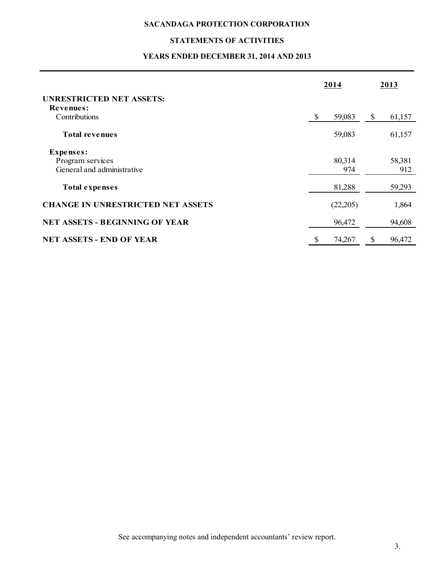## **STATEMENTS OF ACTIVITIES**

### **YEARS ENDED DECEMBER 31, 2014 AND 2013**

|                                                                      | 2014 |               | 2013 |               |
|----------------------------------------------------------------------|------|---------------|------|---------------|
| <b>UNRESTRICTED NET ASSETS:</b><br><b>Revenues:</b><br>Contributions | \$   | 59,083        | \$   | 61,157        |
| <b>Total revenues</b>                                                |      | 59,083        |      | 61,157        |
| <b>Expenses:</b><br>Program services<br>General and administrative   |      | 80,314<br>974 |      | 58,381<br>912 |
| <b>Total expenses</b>                                                |      | 81,288        |      | 59,293        |
| <b>CHANGE IN UNRESTRICTED NET ASSETS</b>                             |      | (22,205)      |      | 1,864         |
| <b>NET ASSETS - BEGINNING OF YEAR</b>                                |      | 96,472        |      | 94,608        |
| <b>NET ASSETS - END OF YEAR</b>                                      | \$   | 74,267        | \$   | 96,472        |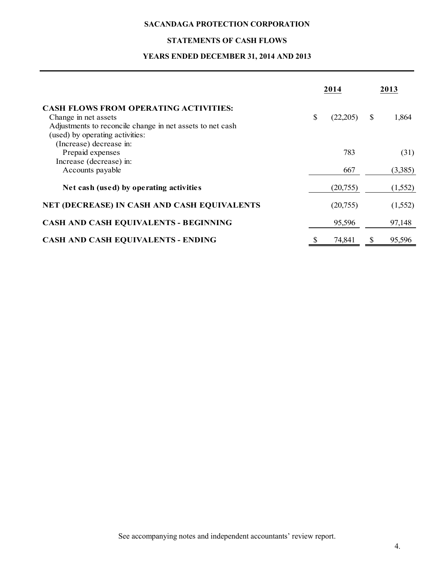### **STATEMENTS OF CASH FLOWS**

### **YEARS ENDED DECEMBER 31, 2014 AND 2013**

|                                                                                                                                                                      |    | 2014     |    | 2013    |  |
|----------------------------------------------------------------------------------------------------------------------------------------------------------------------|----|----------|----|---------|--|
| <b>CASH FLOWS FROM OPERATING ACTIVITIES:</b><br>Change in net assets<br>Adjustments to reconcile change in net assets to net cash<br>(used) by operating activities: | \$ | (22,205) | \$ | 1,864   |  |
| (Increase) decrease in:<br>Prepaid expenses<br>Increase (decrease) in:                                                                                               |    | 783      |    | (31)    |  |
| Accounts payable                                                                                                                                                     |    | 667      |    | (3,385) |  |
| Net cash (used) by operating activities                                                                                                                              |    | (20,755) |    | (1,552) |  |
| NET (DECREASE) IN CASH AND CASH EQUIVALENTS                                                                                                                          |    | (20,755) |    | (1,552) |  |
| <b>CASH AND CASH EQUIVALENTS - BEGINNING</b>                                                                                                                         |    | 95,596   |    | 97,148  |  |
| <b>CASH AND CASH EQUIVALENTS - ENDING</b>                                                                                                                            | \$ | 74,841   | \$ | 95,596  |  |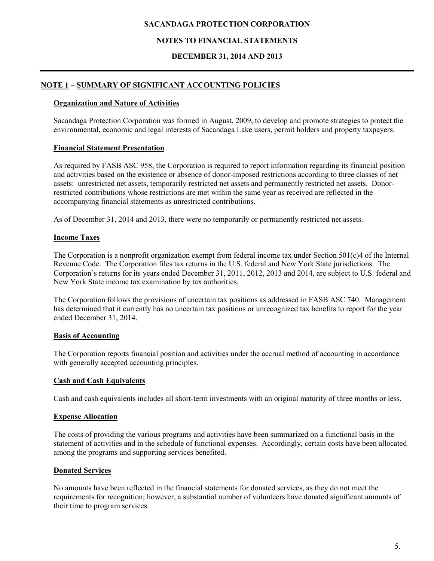#### **NOTES TO FINANCIAL STATEMENTS**

#### **DECEMBER 31, 2014 AND 2013**

#### **NOTE 1 – SUMMARY OF SIGNIFICANT ACCOUNTING POLICIES**

#### **Organization and Nature of Activities**

Sacandaga Protection Corporation was formed in August, 2009, to develop and promote strategies to protect the environmental, economic and legal interests of Sacandaga Lake users, permit holders and property taxpayers.

#### **Financial Statement Presentation**

As required by FASB ASC 958, the Corporation is required to report information regarding its financial position and activities based on the existence or absence of donor-imposed restrictions according to three classes of net assets: unrestricted net assets, temporarily restricted net assets and permanently restricted net assets. Donorrestricted contributions whose restrictions are met within the same year as received are reflected in the accompanying financial statements as unrestricted contributions.

As of December 31, 2014 and 2013, there were no temporarily or permanently restricted net assets.

#### **Income Taxes**

The Corporation is a nonprofit organization exempt from federal income tax under Section 501(c)4 of the Internal Revenue Code. The Corporation files tax returns in the U.S. federal and New York State jurisdictions. The Corporation's returns for its years ended December 31, 2011, 2012, 2013 and 2014, are subject to U.S. federal and New York State income tax examination by tax authorities.

The Corporation follows the provisions of uncertain tax positions as addressed in FASB ASC 740. Management has determined that it currently has no uncertain tax positions or unrecognized tax benefits to report for the year ended December 31, 2014.

#### **Basis of Accounting**

The Corporation reports financial position and activities under the accrual method of accounting in accordance with generally accepted accounting principles.

#### **Cash and Cash Equivalents**

Cash and cash equivalents includes all short-term investments with an original maturity of three months or less.

#### **Expense Allocation**

The costs of providing the various programs and activities have been summarized on a functional basis in the statement of activities and in the schedule of functional expenses. Accordingly, certain costs have been allocated among the programs and supporting services benefited.

#### **Donated Services**

No amounts have been reflected in the financial statements for donated services, as they do not meet the requirements for recognition; however, a substantial number of volunteers have donated significant amounts of their time to program services.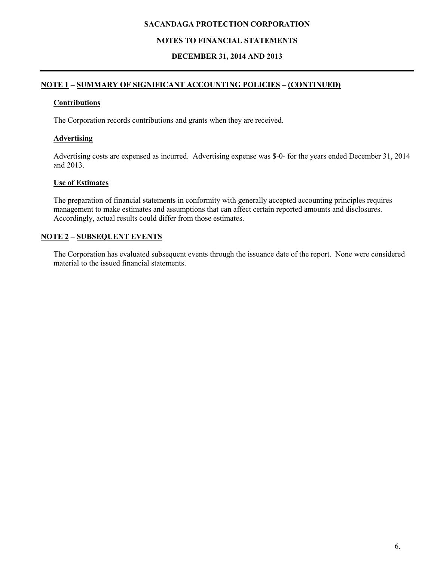#### **NOTES TO FINANCIAL STATEMENTS**

#### **DECEMBER 31, 2014 AND 2013**

#### **NOTE 1 – SUMMARY OF SIGNIFICANT ACCOUNTING POLICIES – (CONTINUED)**

#### **Contributions**

The Corporation records contributions and grants when they are received.

#### **Advertising**

Advertising costs are expensed as incurred. Advertising expense was \$-0- for the years ended December 31, 2014 and 2013.

#### **Use of Estimates**

The preparation of financial statements in conformity with generally accepted accounting principles requires management to make estimates and assumptions that can affect certain reported amounts and disclosures. Accordingly, actual results could differ from those estimates.

#### **NOTE 2 – SUBSEQUENT EVENTS**

The Corporation has evaluated subsequent events through the issuance date of the report. None were considered material to the issued financial statements.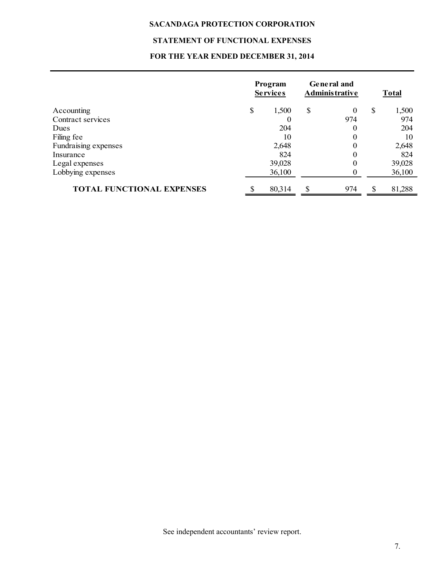## **STATEMENT OF FUNCTIONAL EXPENSES**

### **FOR THE YEAR ENDED DECEMBER 31, 2014**

|                                  | Program<br><b>Services</b> |          | General and<br><b>Administrative</b> |          | <b>Total</b> |        |
|----------------------------------|----------------------------|----------|--------------------------------------|----------|--------------|--------|
| Accounting                       | \$                         | 1,500    | \$                                   | $\theta$ | \$           | 1,500  |
| Contract services                |                            | $\theta$ |                                      | 974      |              | 974    |
| Dues                             |                            | 204      |                                      | 0        |              | 204    |
| Filing fee                       |                            | 10       |                                      | 0        |              | 10     |
| Fundraising expenses             |                            | 2,648    |                                      | 0        |              | 2,648  |
| Insurance                        |                            | 824      |                                      | 0        |              | 824    |
| Legal expenses                   |                            | 39,028   |                                      | $\theta$ |              | 39,028 |
| Lobbying expenses                |                            | 36,100   |                                      | 0        |              | 36,100 |
| <b>TOTAL FUNCTIONAL EXPENSES</b> |                            | 80,314   | \$                                   | 974      | \$           | 81,288 |